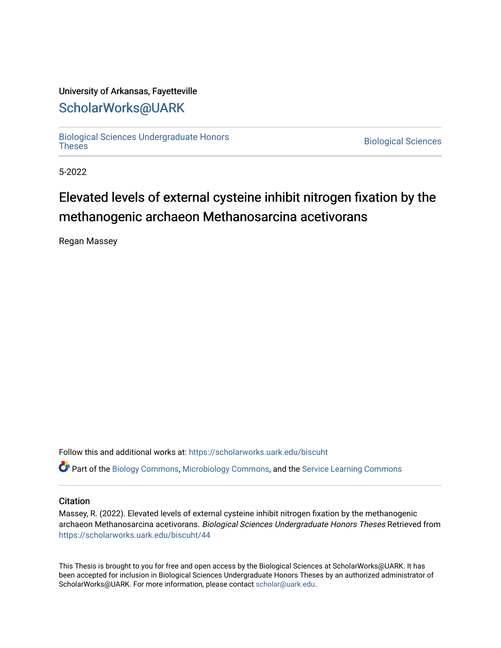## University of Arkansas, Fayetteville

# [ScholarWorks@UARK](https://scholarworks.uark.edu/)

[Biological Sciences Undergraduate Honors](https://scholarworks.uark.edu/biscuht)

**Biological Sciences** 

5-2022

# Elevated levels of external cysteine inhibit nitrogen fixation by the methanogenic archaeon Methanosarcina acetivorans

Regan Massey

Follow this and additional works at: [https://scholarworks.uark.edu/biscuht](https://scholarworks.uark.edu/biscuht?utm_source=scholarworks.uark.edu%2Fbiscuht%2F44&utm_medium=PDF&utm_campaign=PDFCoverPages) 

Part of the [Biology Commons,](http://network.bepress.com/hgg/discipline/41?utm_source=scholarworks.uark.edu%2Fbiscuht%2F44&utm_medium=PDF&utm_campaign=PDFCoverPages) [Microbiology Commons](http://network.bepress.com/hgg/discipline/48?utm_source=scholarworks.uark.edu%2Fbiscuht%2F44&utm_medium=PDF&utm_campaign=PDFCoverPages), and the [Service Learning Commons](http://network.bepress.com/hgg/discipline/1024?utm_source=scholarworks.uark.edu%2Fbiscuht%2F44&utm_medium=PDF&utm_campaign=PDFCoverPages)

#### **Citation**

Massey, R. (2022). Elevated levels of external cysteine inhibit nitrogen fixation by the methanogenic archaeon Methanosarcina acetivorans. Biological Sciences Undergraduate Honors Theses Retrieved from [https://scholarworks.uark.edu/biscuht/44](https://scholarworks.uark.edu/biscuht/44?utm_source=scholarworks.uark.edu%2Fbiscuht%2F44&utm_medium=PDF&utm_campaign=PDFCoverPages)

This Thesis is brought to you for free and open access by the Biological Sciences at ScholarWorks@UARK. It has been accepted for inclusion in Biological Sciences Undergraduate Honors Theses by an authorized administrator of ScholarWorks@UARK. For more information, please contact [scholar@uark.edu](mailto:scholar@uark.edu).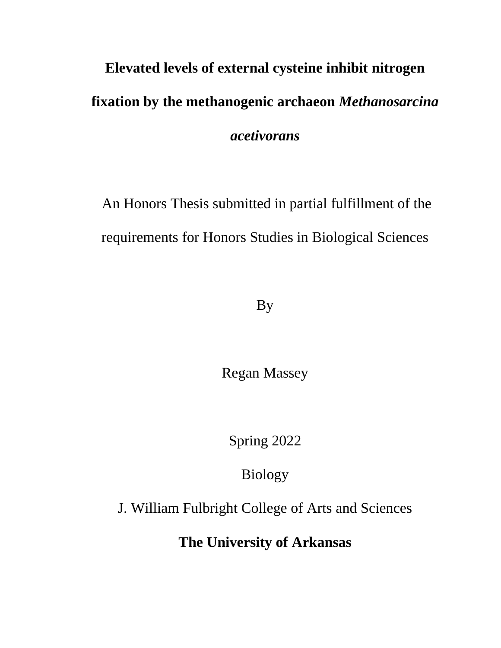# **Elevated levels of external cysteine inhibit nitrogen fixation by the methanogenic archaeon** *Methanosarcina acetivorans*

An Honors Thesis submitted in partial fulfillment of the requirements for Honors Studies in Biological Sciences

By

Regan Massey

Spring 2022

Biology

J. William Fulbright College of Arts and Sciences

**The University of Arkansas**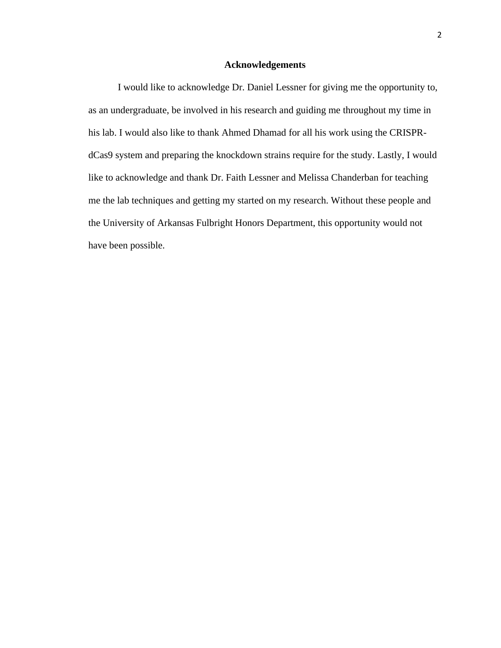#### **Acknowledgements**

I would like to acknowledge Dr. Daniel Lessner for giving me the opportunity to, as an undergraduate, be involved in his research and guiding me throughout my time in his lab. I would also like to thank Ahmed Dhamad for all his work using the CRISPRdCas9 system and preparing the knockdown strains require for the study. Lastly, I would like to acknowledge and thank Dr. Faith Lessner and Melissa Chanderban for teaching me the lab techniques and getting my started on my research. Without these people and the University of Arkansas Fulbright Honors Department, this opportunity would not have been possible.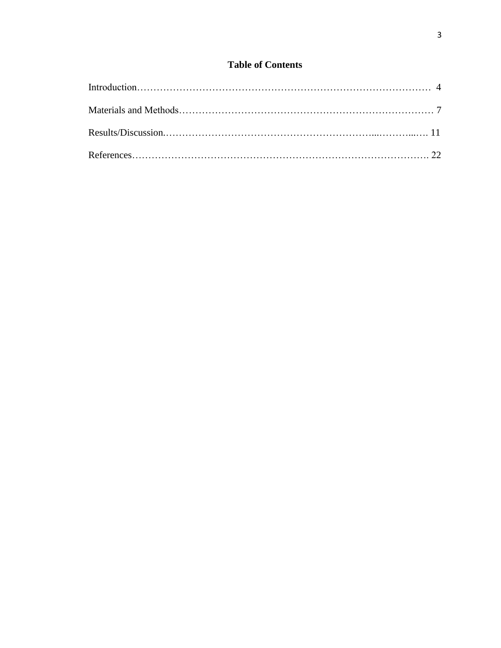## **Table of Contents**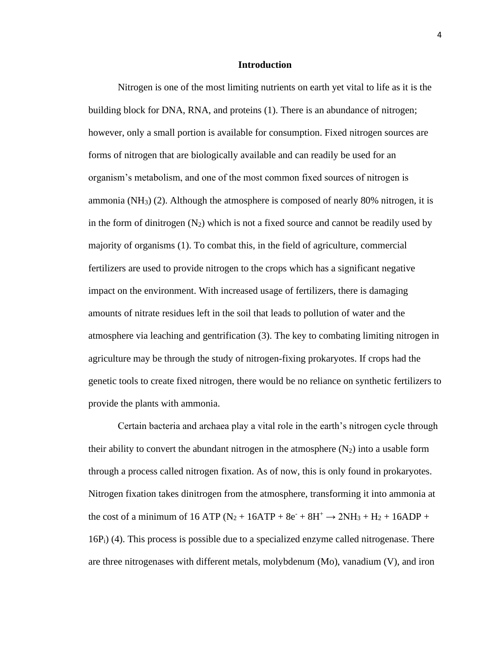#### **Introduction**

Nitrogen is one of the most limiting nutrients on earth yet vital to life as it is the building block for DNA, RNA, and proteins (1). There is an abundance of nitrogen; however, only a small portion is available for consumption. Fixed nitrogen sources are forms of nitrogen that are biologically available and can readily be used for an organism's metabolism, and one of the most common fixed sources of nitrogen is ammonia (NH<sub>3</sub>) (2). Although the atmosphere is composed of nearly 80% nitrogen, it is in the form of dinitrogen  $(N_2)$  which is not a fixed source and cannot be readily used by majority of organisms (1). To combat this, in the field of agriculture, commercial fertilizers are used to provide nitrogen to the crops which has a significant negative impact on the environment. With increased usage of fertilizers, there is damaging amounts of nitrate residues left in the soil that leads to pollution of water and the atmosphere via leaching and gentrification (3). The key to combating limiting nitrogen in agriculture may be through the study of nitrogen-fixing prokaryotes. If crops had the genetic tools to create fixed nitrogen, there would be no reliance on synthetic fertilizers to provide the plants with ammonia.

Certain bacteria and archaea play a vital role in the earth's nitrogen cycle through their ability to convert the abundant nitrogen in the atmosphere  $(N_2)$  into a usable form through a process called nitrogen fixation. As of now, this is only found in prokaryotes. Nitrogen fixation takes dinitrogen from the atmosphere, transforming it into ammonia at the cost of a minimum of 16 ATP ( $N_2$  + 16ATP + 8e<sup>-</sup> + 8H<sup>+</sup>  $\rightarrow$  2NH<sub>3</sub> + H<sub>2</sub> + 16ADP + 16Pi) (4). This process is possible due to a specialized enzyme called nitrogenase. There are three nitrogenases with different metals, molybdenum (Mo), vanadium (V), and iron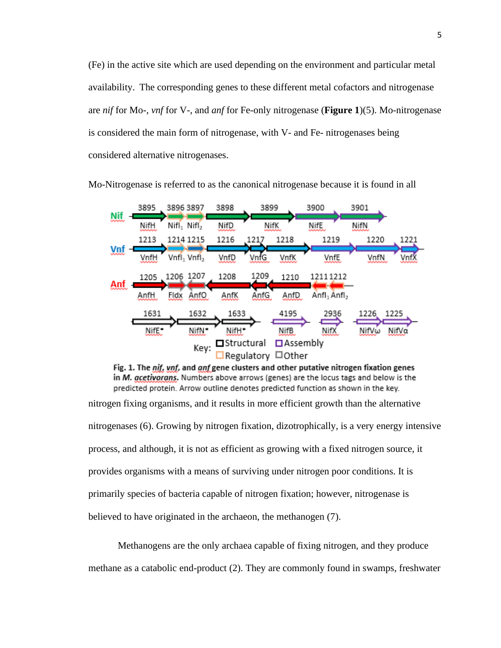(Fe) in the active site which are used depending on the environment and particular metal availability. The corresponding genes to these different metal cofactors and nitrogenase are *nif* for Mo-, *vnf* for V-, and *anf* for Fe-only nitrogenase (**Figure 1**)(5). Mo-nitrogenase is considered the main form of nitrogenase, with V- and Fe- nitrogenases being considered alternative nitrogenases.



Mo-Nitrogenase is referred to as the canonical nitrogenase because it is found in all

Fig. 1. The nif, ynf, and anf gene clusters and other putative nitrogen fixation genes in M. gcetivorans. Numbers above arrows (genes) are the locus tags and below is the predicted protein. Arrow outline denotes predicted function as shown in the key.

nitrogen fixing organisms, and it results in more efficient growth than the alternative nitrogenases (6). Growing by nitrogen fixation, dizotrophically, is a very energy intensive process, and although, it is not as efficient as growing with a fixed nitrogen source, it provides organisms with a means of surviving under nitrogen poor conditions. It is primarily species of bacteria capable of nitrogen fixation; however, nitrogenase is believed to have originated in the archaeon, the methanogen (7).

Methanogens are the only archaea capable of fixing nitrogen, and they produce methane as a catabolic end-product (2). They are commonly found in swamps, freshwater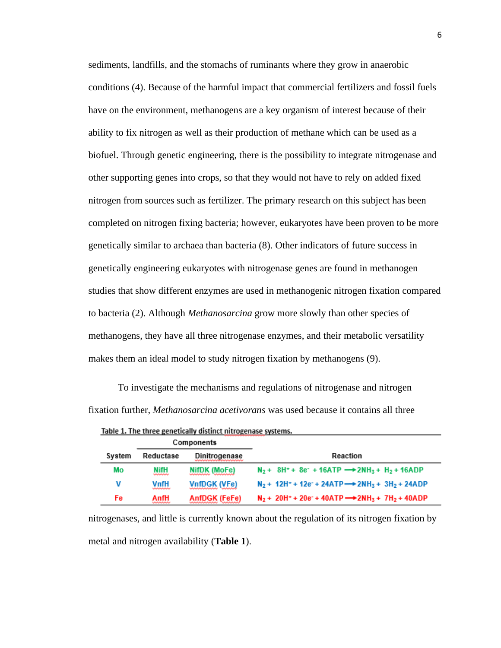sediments, landfills, and the stomachs of ruminants where they grow in anaerobic conditions (4). Because of the harmful impact that commercial fertilizers and fossil fuels have on the environment, methanogens are a key organism of interest because of their ability to fix nitrogen as well as their production of methane which can be used as a biofuel. Through genetic engineering, there is the possibility to integrate nitrogenase and other supporting genes into crops, so that they would not have to rely on added fixed nitrogen from sources such as fertilizer. The primary research on this subject has been completed on nitrogen fixing bacteria; however, eukaryotes have been proven to be more genetically similar to archaea than bacteria (8). Other indicators of future success in genetically engineering eukaryotes with nitrogenase genes are found in methanogen studies that show different enzymes are used in methanogenic nitrogen fixation compared to bacteria (2). Although *Methanosarcina* grow more slowly than other species of methanogens, they have all three nitrogenase enzymes, and their metabolic versatility makes them an ideal model to study nitrogen fixation by methanogens (9).

To investigate the mechanisms and regulations of nitrogenase and nitrogen fixation further, *Methanosarcina acetivorans* was used because it contains all three

| Components |                    |                      |                                                                                                              |
|------------|--------------------|----------------------|--------------------------------------------------------------------------------------------------------------|
| System     | Reductase          | <b>Dinitrogenase</b> | Reaction                                                                                                     |
| Mo         | NifH<br>بممسمع     | NifDK (MoFe)         | $N_2$ + 8H <sup>+</sup> + 8e <sup>+</sup> + 16ATP $\rightarrow$ 2NH <sub>3</sub> + H <sub>2</sub> + 16ADP    |
| v          | VnfH<br>,,,,,,,,,, | VnfDGK (VFe)         | $N_2$ + 12H <sup>+</sup> + 12e <sup>-</sup> + 24ATP $\rightarrow$ 2NH <sub>3</sub> + 3H <sub>2</sub> + 24ADP |
| Fe         | AnfH<br>uunnuuru   | <b>AnfDGK (FeFe)</b> | $N_2$ + 20H <sup>+</sup> + 20e <sup>-</sup> + 40ATP $\rightarrow$ 2NH <sub>3</sub> + 7H <sub>2</sub> + 40ADP |

Table 1. The three genetically distinct nitrogenase systems.

nitrogenases, and little is currently known about the regulation of its nitrogen fixation by metal and nitrogen availability (**Table 1**).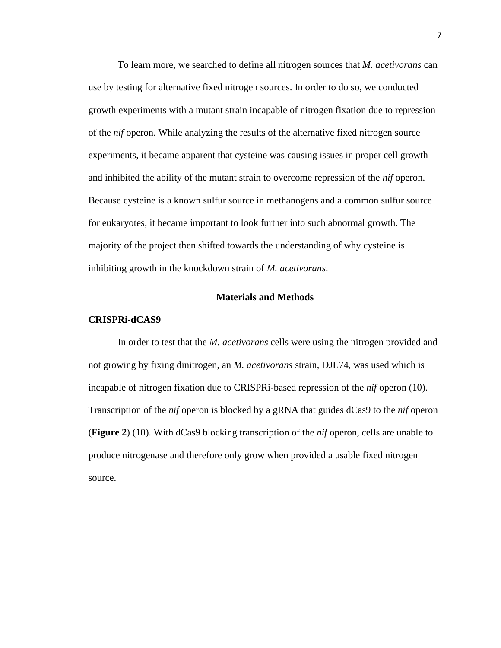To learn more, we searched to define all nitrogen sources that *M. acetivorans* can use by testing for alternative fixed nitrogen sources. In order to do so, we conducted growth experiments with a mutant strain incapable of nitrogen fixation due to repression of the *nif* operon. While analyzing the results of the alternative fixed nitrogen source experiments, it became apparent that cysteine was causing issues in proper cell growth and inhibited the ability of the mutant strain to overcome repression of the *nif* operon. Because cysteine is a known sulfur source in methanogens and a common sulfur source for eukaryotes, it became important to look further into such abnormal growth. The majority of the project then shifted towards the understanding of why cysteine is inhibiting growth in the knockdown strain of *M. acetivorans*.

#### **Materials and Methods**

#### **CRISPRi-dCAS9**

In order to test that the *M. acetivorans* cells were using the nitrogen provided and not growing by fixing dinitrogen, an *M. acetivorans* strain, DJL74, was used which is incapable of nitrogen fixation due to CRISPRi-based repression of the *nif* operon (10). Transcription of the *nif* operon is blocked by a gRNA that guides dCas9 to the *nif* operon (**Figure 2**) (10). With dCas9 blocking transcription of the *nif* operon, cells are unable to produce nitrogenase and therefore only grow when provided a usable fixed nitrogen source.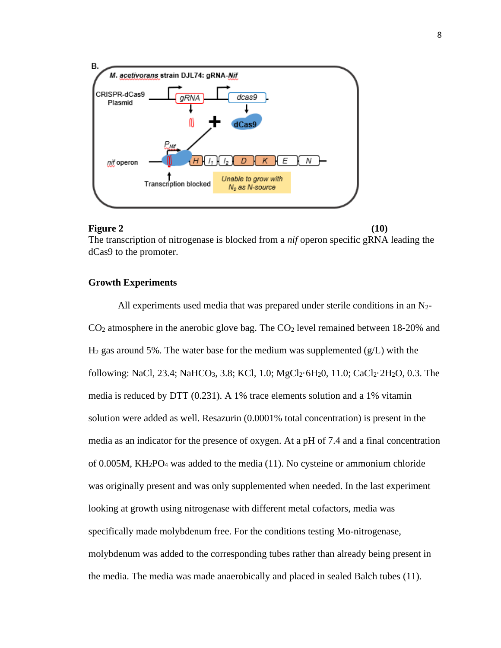

#### **Figure 2** (10)

The transcription of nitrogenase is blocked from a *nif* operon specific gRNA leading the dCas9 to the promoter.

#### **Growth Experiments**

All experiments used media that was prepared under sterile conditions in an  $N_{2}$ - $CO<sub>2</sub>$  atmosphere in the anerobic glove bag. The  $CO<sub>2</sub>$  level remained between 18-20% and  $H_2$  gas around 5%. The water base for the medium was supplemented (g/L) with the following: NaCl, 23.4; NaHCO<sub>3</sub>, 3.8; KCl, 1.0; MgCl<sub>2</sub>·6H<sub>2</sub>0, 11.0; CaCl<sub>2</sub>·2H<sub>2</sub>O, 0.3. The media is reduced by DTT (0.231). A 1% trace elements solution and a 1% vitamin solution were added as well. Resazurin (0.0001% total concentration) is present in the media as an indicator for the presence of oxygen. At a pH of 7.4 and a final concentration of 0.005M, KH2PO<sup>4</sup> was added to the media (11). No cysteine or ammonium chloride was originally present and was only supplemented when needed. In the last experiment looking at growth using nitrogenase with different metal cofactors, media was specifically made molybdenum free. For the conditions testing Mo-nitrogenase, molybdenum was added to the corresponding tubes rather than already being present in the media. The media was made anaerobically and placed in sealed Balch tubes (11).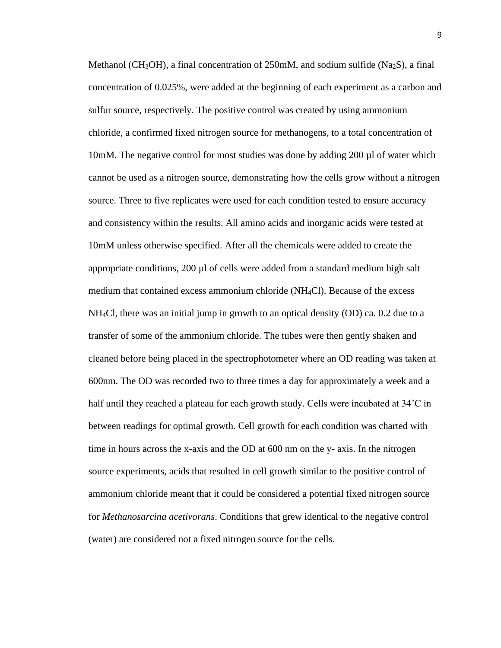Methanol (CH<sub>3</sub>OH), a final concentration of 250mM, and sodium sulfide (Na<sub>2</sub>S), a final concentration of 0.025%, were added at the beginning of each experiment as a carbon and sulfur source, respectively. The positive control was created by using ammonium chloride, a confirmed fixed nitrogen source for methanogens, to a total concentration of 10mM. The negative control for most studies was done by adding 200 µl of water which cannot be used as a nitrogen source, demonstrating how the cells grow without a nitrogen source. Three to five replicates were used for each condition tested to ensure accuracy and consistency within the results. All amino acids and inorganic acids were tested at 10mM unless otherwise specified. After all the chemicals were added to create the appropriate conditions,  $200 \mu l$  of cells were added from a standard medium high salt medium that contained excess ammonium chloride (NH4Cl). Because of the excess NH4Cl, there was an initial jump in growth to an optical density (OD) ca. 0.2 due to a transfer of some of the ammonium chloride. The tubes were then gently shaken and cleaned before being placed in the spectrophotometer where an OD reading was taken at 600nm. The OD was recorded two to three times a day for approximately a week and a half until they reached a plateau for each growth study. Cells were incubated at 34˚C in between readings for optimal growth. Cell growth for each condition was charted with time in hours across the x-axis and the OD at 600 nm on the y- axis. In the nitrogen source experiments, acids that resulted in cell growth similar to the positive control of ammonium chloride meant that it could be considered a potential fixed nitrogen source for *Methanosarcina acetivorans*. Conditions that grew identical to the negative control (water) are considered not a fixed nitrogen source for the cells.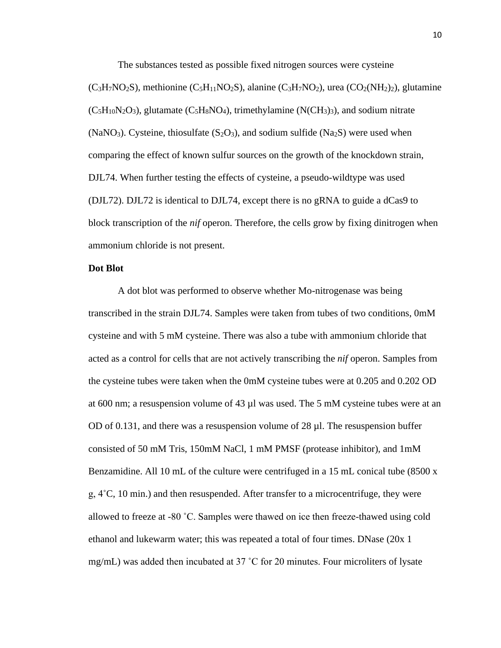The substances tested as possible fixed nitrogen sources were cysteine

 $(C_3H_7NO_2S)$ , methionine  $(C_5H_1NO_2S)$ , alanine  $(C_3H_7NO_2)$ , urea  $(C_2(NH_2)_2)$ , glutamine  $(C_5H_{10}N_2O_3)$ , glutamate  $(C_5H_8NO_4)$ , trimethylamine  $(N(CH_3)_3)$ , and sodium nitrate (NaNO<sub>3</sub>). Cysteine, thiosulfate (S<sub>2</sub>O<sub>3</sub>), and sodium sulfide (Na<sub>2</sub>S) were used when comparing the effect of known sulfur sources on the growth of the knockdown strain, DJL74. When further testing the effects of cysteine, a pseudo-wildtype was used (DJL72). DJL72 is identical to DJL74, except there is no gRNA to guide a dCas9 to block transcription of the *nif* operon. Therefore, the cells grow by fixing dinitrogen when ammonium chloride is not present.

#### **Dot Blot**

A dot blot was performed to observe whether Mo-nitrogenase was being transcribed in the strain DJL74. Samples were taken from tubes of two conditions, 0mM cysteine and with 5 mM cysteine. There was also a tube with ammonium chloride that acted as a control for cells that are not actively transcribing the *nif* operon. Samples from the cysteine tubes were taken when the 0mM cysteine tubes were at 0.205 and 0.202 OD at 600 nm; a resuspension volume of 43 µl was used. The 5 mM cysteine tubes were at an OD of 0.131, and there was a resuspension volume of  $28 \mu$ . The resuspension buffer consisted of 50 mM Tris, 150mM NaCl, 1 mM PMSF (protease inhibitor), and 1mM Benzamidine. All 10 mL of the culture were centrifuged in a 15 mL conical tube (8500 x g, 4˚C, 10 min.) and then resuspended. After transfer to a microcentrifuge, they were allowed to freeze at -80 ˚C. Samples were thawed on ice then freeze-thawed using cold ethanol and lukewarm water; this was repeated a total of four times. DNase (20x 1 mg/mL) was added then incubated at 37 ˚C for 20 minutes. Four microliters of lysate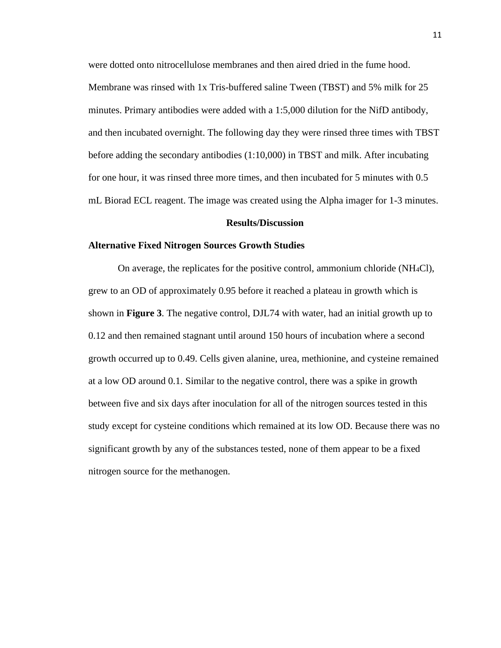were dotted onto nitrocellulose membranes and then aired dried in the fume hood. Membrane was rinsed with 1x Tris-buffered saline Tween (TBST) and 5% milk for 25 minutes. Primary antibodies were added with a 1:5,000 dilution for the NifD antibody, and then incubated overnight. The following day they were rinsed three times with TBST before adding the secondary antibodies (1:10,000) in TBST and milk. After incubating for one hour, it was rinsed three more times, and then incubated for 5 minutes with 0.5 mL Biorad ECL reagent. The image was created using the Alpha imager for 1-3 minutes.

#### **Results/Discussion**

#### **Alternative Fixed Nitrogen Sources Growth Studies**

On average, the replicates for the positive control, ammonium chloride (NH4Cl), grew to an OD of approximately 0.95 before it reached a plateau in growth which is shown in **Figure 3**. The negative control, DJL74 with water, had an initial growth up to 0.12 and then remained stagnant until around 150 hours of incubation where a second growth occurred up to 0.49. Cells given alanine, urea, methionine, and cysteine remained at a low OD around 0.1. Similar to the negative control, there was a spike in growth between five and six days after inoculation for all of the nitrogen sources tested in this study except for cysteine conditions which remained at its low OD. Because there was no significant growth by any of the substances tested, none of them appear to be a fixed nitrogen source for the methanogen.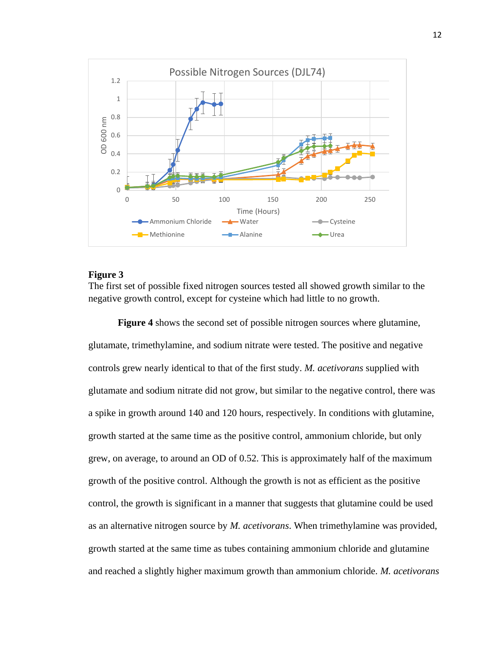

#### **Figure 3**

The first set of possible fixed nitrogen sources tested all showed growth similar to the negative growth control, except for cysteine which had little to no growth.

**Figure 4** shows the second set of possible nitrogen sources where glutamine, glutamate, trimethylamine, and sodium nitrate were tested. The positive and negative controls grew nearly identical to that of the first study. *M. acetivorans* supplied with glutamate and sodium nitrate did not grow, but similar to the negative control, there was a spike in growth around 140 and 120 hours, respectively. In conditions with glutamine, growth started at the same time as the positive control, ammonium chloride, but only grew, on average, to around an OD of 0.52. This is approximately half of the maximum growth of the positive control. Although the growth is not as efficient as the positive control, the growth is significant in a manner that suggests that glutamine could be used as an alternative nitrogen source by *M. acetivorans*. When trimethylamine was provided, growth started at the same time as tubes containing ammonium chloride and glutamine and reached a slightly higher maximum growth than ammonium chloride. *M. acetivorans*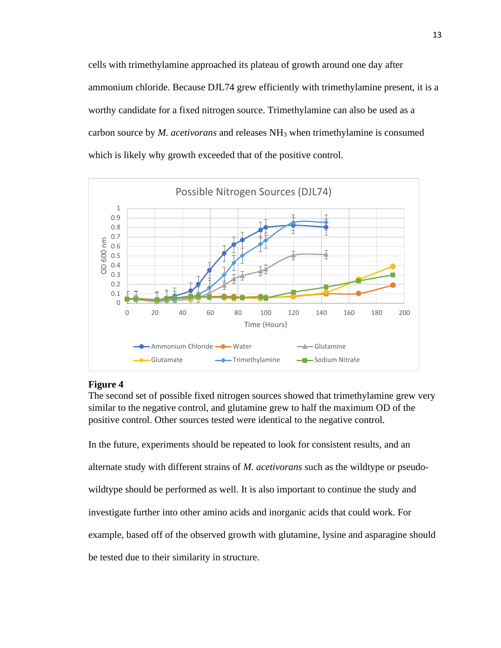cells with trimethylamine approached its plateau of growth around one day after ammonium chloride. Because DJL74 grew efficiently with trimethylamine present, it is a worthy candidate for a fixed nitrogen source. Trimethylamine can also be used as a carbon source by *M. acetivorans* and releases NH<sup>3</sup> when trimethylamine is consumed which is likely why growth exceeded that of the positive control.



### **Figure 4**

The second set of possible fixed nitrogen sources showed that trimethylamine grew very similar to the negative control, and glutamine grew to half the maximum OD of the positive control. Other sources tested were identical to the negative control.

In the future, experiments should be repeated to look for consistent results, and an alternate study with different strains of *M. acetivorans* such as the wildtype or pseudowildtype should be performed as well. It is also important to continue the study and investigate further into other amino acids and inorganic acids that could work. For example, based off of the observed growth with glutamine, lysine and asparagine should be tested due to their similarity in structure.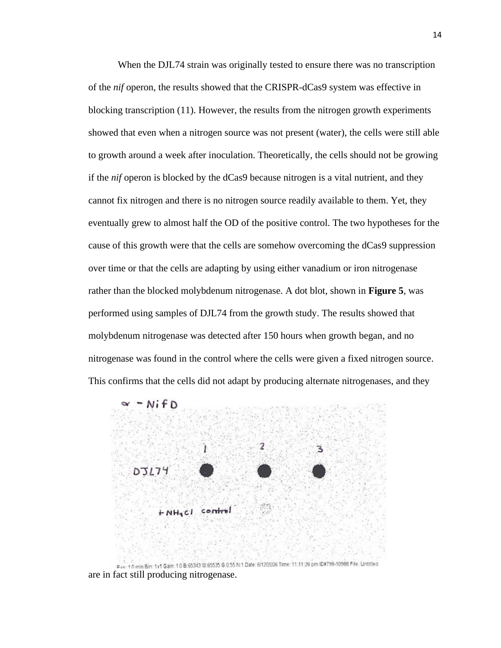When the DJL74 strain was originally tested to ensure there was no transcription of the *nif* operon, the results showed that the CRISPR-dCas9 system was effective in blocking transcription (11). However, the results from the nitrogen growth experiments showed that even when a nitrogen source was not present (water), the cells were still able to growth around a week after inoculation. Theoretically, the cells should not be growing if the *nif* operon is blocked by the dCas9 because nitrogen is a vital nutrient, and they cannot fix nitrogen and there is no nitrogen source readily available to them. Yet, they eventually grew to almost half the OD of the positive control. The two hypotheses for the cause of this growth were that the cells are somehow overcoming the dCas9 suppression over time or that the cells are adapting by using either vanadium or iron nitrogenase rather than the blocked molybdenum nitrogenase. A dot blot, shown in **Figure 5**, was performed using samples of DJL74 from the growth study. The results showed that molybdenum nitrogenase was detected after 150 hours when growth began, and no nitrogenase was found in the control where the cells were given a fixed nitrogen source. This confirms that the cells did not adapt by producing alternate nitrogenases, and they



Ever 10 min Bin: 1x1 Gain: 10 B 65343 W 65535 G 0.55 N:1 Date: 6/12/2006 Time: 11:11:26 pm ID#798-10988 File: Untitled are in fact still producing nitrogenase.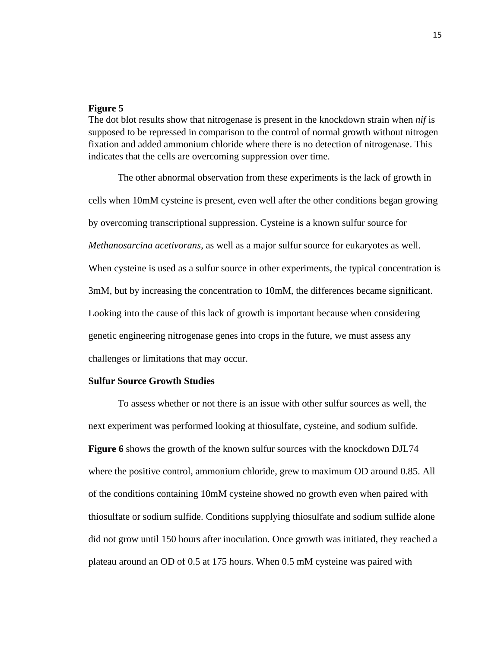#### **Figure 5**

The dot blot results show that nitrogenase is present in the knockdown strain when *nif* is supposed to be repressed in comparison to the control of normal growth without nitrogen fixation and added ammonium chloride where there is no detection of nitrogenase. This indicates that the cells are overcoming suppression over time.

The other abnormal observation from these experiments is the lack of growth in cells when 10mM cysteine is present, even well after the other conditions began growing by overcoming transcriptional suppression. Cysteine is a known sulfur source for *Methanosarcina acetivorans*, as well as a major sulfur source for eukaryotes as well. When cysteine is used as a sulfur source in other experiments, the typical concentration is 3mM, but by increasing the concentration to 10mM, the differences became significant. Looking into the cause of this lack of growth is important because when considering genetic engineering nitrogenase genes into crops in the future, we must assess any challenges or limitations that may occur.

#### **Sulfur Source Growth Studies**

To assess whether or not there is an issue with other sulfur sources as well, the next experiment was performed looking at thiosulfate, cysteine, and sodium sulfide. **Figure 6** shows the growth of the known sulfur sources with the knockdown DJL74 where the positive control, ammonium chloride, grew to maximum OD around 0.85. All of the conditions containing 10mM cysteine showed no growth even when paired with thiosulfate or sodium sulfide. Conditions supplying thiosulfate and sodium sulfide alone did not grow until 150 hours after inoculation. Once growth was initiated, they reached a plateau around an OD of 0.5 at 175 hours. When 0.5 mM cysteine was paired with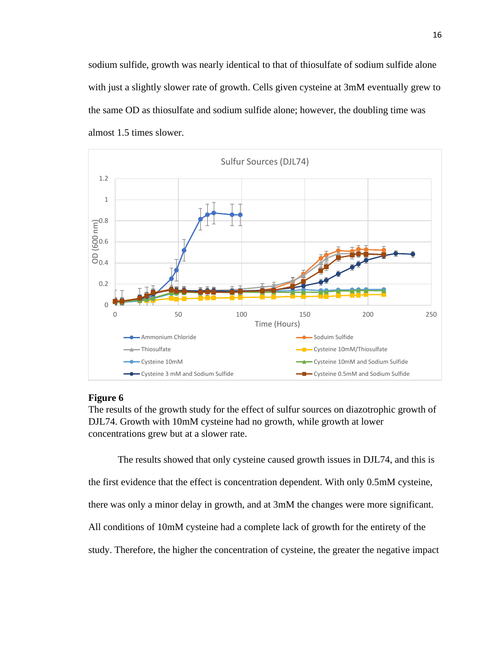sodium sulfide, growth was nearly identical to that of thiosulfate of sodium sulfide alone with just a slightly slower rate of growth. Cells given cysteine at 3mM eventually grew to the same OD as thiosulfate and sodium sulfide alone; however, the doubling time was almost 1.5 times slower.



#### **Figure 6**

The results of the growth study for the effect of sulfur sources on diazotrophic growth of DJL74. Growth with 10mM cysteine had no growth, while growth at lower concentrations grew but at a slower rate.

The results showed that only cysteine caused growth issues in DJL74, and this is the first evidence that the effect is concentration dependent. With only 0.5mM cysteine, there was only a minor delay in growth, and at 3mM the changes were more significant. All conditions of 10mM cysteine had a complete lack of growth for the entirety of the study. Therefore, the higher the concentration of cysteine, the greater the negative impact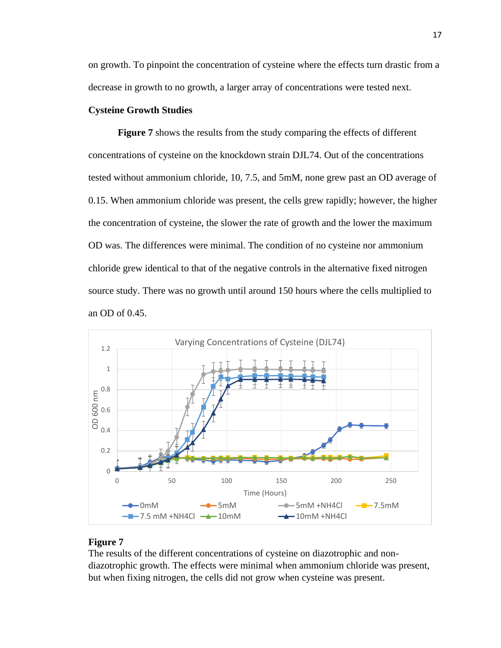on growth. To pinpoint the concentration of cysteine where the effects turn drastic from a decrease in growth to no growth, a larger array of concentrations were tested next.

#### **Cysteine Growth Studies**

**Figure 7** shows the results from the study comparing the effects of different concentrations of cysteine on the knockdown strain DJL74. Out of the concentrations tested without ammonium chloride, 10, 7.5, and 5mM, none grew past an OD average of 0.15. When ammonium chloride was present, the cells grew rapidly; however, the higher the concentration of cysteine, the slower the rate of growth and the lower the maximum OD was. The differences were minimal. The condition of no cysteine nor ammonium chloride grew identical to that of the negative controls in the alternative fixed nitrogen source study. There was no growth until around 150 hours where the cells multiplied to an OD of 0.45.



#### **Figure 7**

The results of the different concentrations of cysteine on diazotrophic and nondiazotrophic growth. The effects were minimal when ammonium chloride was present, but when fixing nitrogen, the cells did not grow when cysteine was present.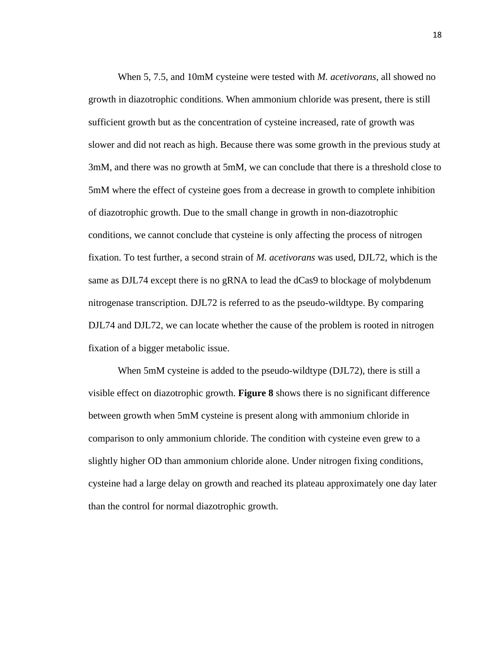When 5, 7.5, and 10mM cysteine were tested with *M. acetivorans*, all showed no growth in diazotrophic conditions. When ammonium chloride was present, there is still sufficient growth but as the concentration of cysteine increased, rate of growth was slower and did not reach as high. Because there was some growth in the previous study at 3mM, and there was no growth at 5mM, we can conclude that there is a threshold close to 5mM where the effect of cysteine goes from a decrease in growth to complete inhibition of diazotrophic growth. Due to the small change in growth in non-diazotrophic conditions, we cannot conclude that cysteine is only affecting the process of nitrogen fixation. To test further, a second strain of *M. acetivorans* was used, DJL72, which is the same as DJL74 except there is no gRNA to lead the dCas9 to blockage of molybdenum nitrogenase transcription. DJL72 is referred to as the pseudo-wildtype. By comparing DJL74 and DJL72, we can locate whether the cause of the problem is rooted in nitrogen fixation of a bigger metabolic issue.

When 5mM cysteine is added to the pseudo-wildtype (DJL72), there is still a visible effect on diazotrophic growth. **Figure 8** shows there is no significant difference between growth when 5mM cysteine is present along with ammonium chloride in comparison to only ammonium chloride. The condition with cysteine even grew to a slightly higher OD than ammonium chloride alone. Under nitrogen fixing conditions, cysteine had a large delay on growth and reached its plateau approximately one day later than the control for normal diazotrophic growth.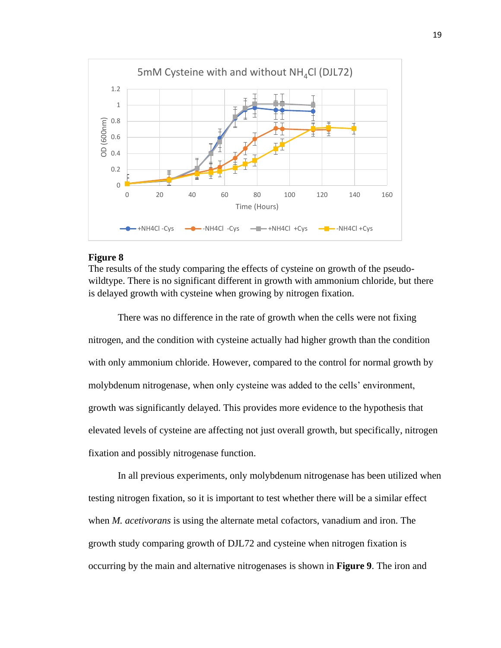

#### **Figure 8**

The results of the study comparing the effects of cysteine on growth of the pseudowildtype. There is no significant different in growth with ammonium chloride, but there is delayed growth with cysteine when growing by nitrogen fixation.

There was no difference in the rate of growth when the cells were not fixing nitrogen, and the condition with cysteine actually had higher growth than the condition with only ammonium chloride. However, compared to the control for normal growth by molybdenum nitrogenase, when only cysteine was added to the cells' environment, growth was significantly delayed. This provides more evidence to the hypothesis that elevated levels of cysteine are affecting not just overall growth, but specifically, nitrogen fixation and possibly nitrogenase function.

In all previous experiments, only molybdenum nitrogenase has been utilized when testing nitrogen fixation, so it is important to test whether there will be a similar effect when *M. acetivorans* is using the alternate metal cofactors, vanadium and iron. The growth study comparing growth of DJL72 and cysteine when nitrogen fixation is occurring by the main and alternative nitrogenases is shown in **Figure 9**. The iron and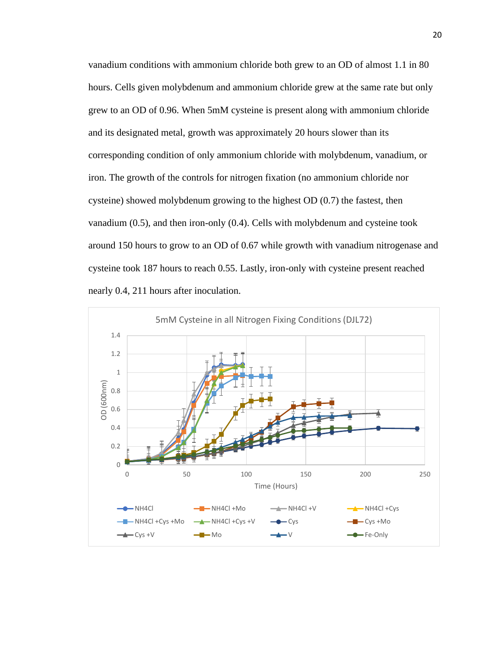vanadium conditions with ammonium chloride both grew to an OD of almost 1.1 in 80 hours. Cells given molybdenum and ammonium chloride grew at the same rate but only grew to an OD of 0.96. When 5mM cysteine is present along with ammonium chloride and its designated metal, growth was approximately 20 hours slower than its corresponding condition of only ammonium chloride with molybdenum, vanadium, or iron. The growth of the controls for nitrogen fixation (no ammonium chloride nor cysteine) showed molybdenum growing to the highest OD (0.7) the fastest, then vanadium (0.5), and then iron-only (0.4). Cells with molybdenum and cysteine took around 150 hours to grow to an OD of 0.67 while growth with vanadium nitrogenase and cysteine took 187 hours to reach 0.55. Lastly, iron-only with cysteine present reached nearly 0.4, 211 hours after inoculation.

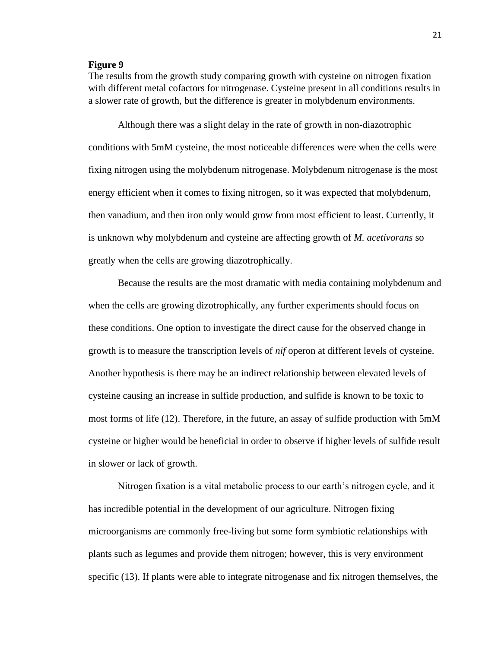#### **Figure 9**

The results from the growth study comparing growth with cysteine on nitrogen fixation with different metal cofactors for nitrogenase. Cysteine present in all conditions results in a slower rate of growth, but the difference is greater in molybdenum environments.

Although there was a slight delay in the rate of growth in non-diazotrophic conditions with 5mM cysteine, the most noticeable differences were when the cells were fixing nitrogen using the molybdenum nitrogenase. Molybdenum nitrogenase is the most energy efficient when it comes to fixing nitrogen, so it was expected that molybdenum, then vanadium, and then iron only would grow from most efficient to least. Currently, it is unknown why molybdenum and cysteine are affecting growth of *M. acetivorans* so greatly when the cells are growing diazotrophically.

Because the results are the most dramatic with media containing molybdenum and when the cells are growing dizotrophically, any further experiments should focus on these conditions. One option to investigate the direct cause for the observed change in growth is to measure the transcription levels of *nif* operon at different levels of cysteine. Another hypothesis is there may be an indirect relationship between elevated levels of cysteine causing an increase in sulfide production, and sulfide is known to be toxic to most forms of life (12). Therefore, in the future, an assay of sulfide production with 5mM cysteine or higher would be beneficial in order to observe if higher levels of sulfide result in slower or lack of growth.

Nitrogen fixation is a vital metabolic process to our earth's nitrogen cycle, and it has incredible potential in the development of our agriculture. Nitrogen fixing microorganisms are commonly free-living but some form symbiotic relationships with plants such as legumes and provide them nitrogen; however, this is very environment specific (13). If plants were able to integrate nitrogenase and fix nitrogen themselves, the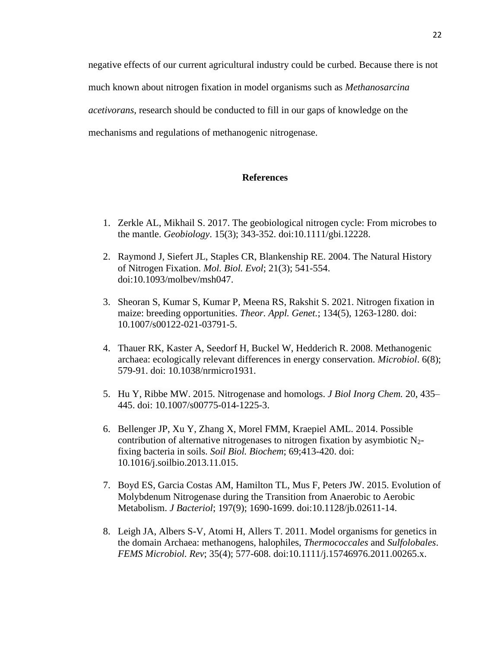negative effects of our current agricultural industry could be curbed. Because there is not much known about nitrogen fixation in model organisms such as *Methanosarcina acetivorans*, research should be conducted to fill in our gaps of knowledge on the mechanisms and regulations of methanogenic nitrogenase.

#### **References**

- 1. Zerkle AL, Mikhail S. 2017. The geobiological nitrogen cycle: From microbes to the mantle. *Geobiology*. 15(3); 343-352. doi:10.1111/gbi.12228.
- 2. Raymond J, Siefert JL, Staples CR, Blankenship RE. 2004. The Natural History of Nitrogen Fixation. *Mol. Biol. Evol*; 21(3); 541-554. doi:10.1093/molbev/msh047.
- 3. Sheoran S, Kumar S, Kumar P, Meena RS, Rakshit S. 2021. Nitrogen fixation in maize: breeding opportunities. *Theor. Appl. Genet.*; 134(5), 1263-1280. doi: 10.1007/s00122-021-03791-5.
- 4. Thauer RK, Kaster A, Seedorf H, Buckel W, Hedderich R. 2008. Methanogenic archaea: ecologically relevant differences in energy conservation. *Microbiol*. 6(8); 579-91. doi: 10.1038/nrmicro1931.
- 5. Hu Y, Ribbe MW. 2015. Nitrogenase and homologs. *J Biol Inorg Chem.* 20, 435– 445. doi: 10.1007/s00775-014-1225-3.
- 6. Bellenger JP, Xu Y, Zhang X, Morel FMM, Kraepiel AML. 2014. Possible contribution of alternative nitrogenases to nitrogen fixation by asymbiotic  $N_2$ fixing bacteria in soils. *Soil Biol. Biochem*; 69;413-420. doi: 10.1016/j.soilbio.2013.11.015.
- 7. Boyd ES, Garcia Costas AM, Hamilton TL, Mus F, Peters JW. 2015. Evolution of Molybdenum Nitrogenase during the Transition from Anaerobic to Aerobic Metabolism. *J Bacteriol*; 197(9); 1690-1699. doi:10.1128/jb.02611-14.
- 8. Leigh JA, Albers S-V, Atomi H, Allers T. 2011. Model organisms for genetics in the domain Archaea: methanogens, halophiles, *Thermococcales* and *Sulfolobales*. *FEMS Microbiol. Rev*; 35(4); 577-608. doi:10.1111/j.15746976.2011.00265.x.